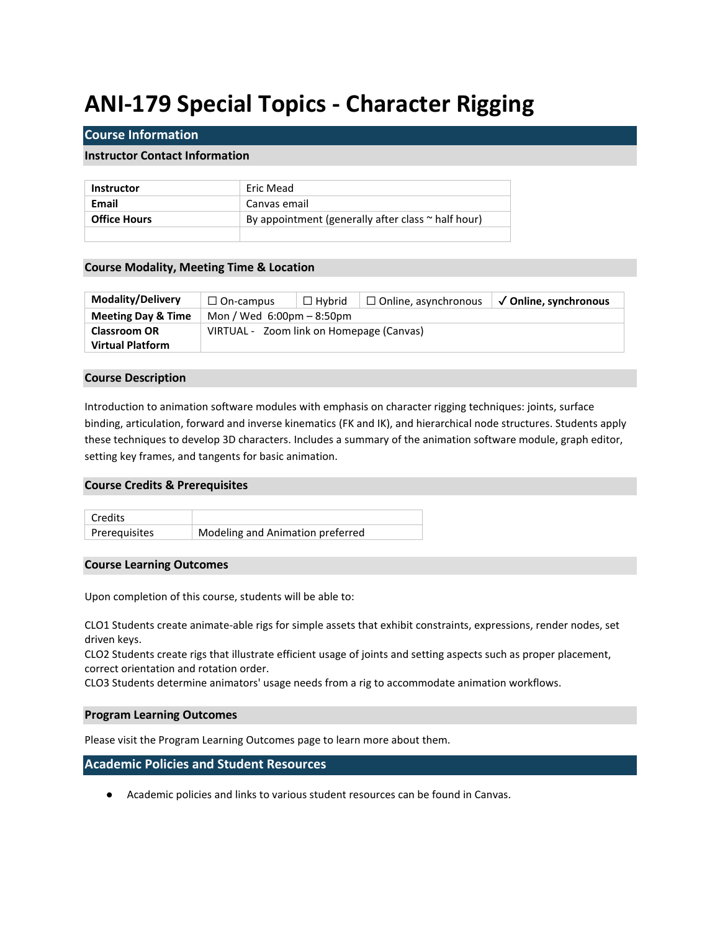# **ANI-179 Special Topics - Character Rigging**

## **Course Information**

### **Instructor Contact Information**

| <b>Instructor</b>   | Eric Mead                                               |  |
|---------------------|---------------------------------------------------------|--|
| Email               | Canvas email                                            |  |
| <b>Office Hours</b> | By appointment (generally after class $\sim$ half hour) |  |
|                     |                                                         |  |

### **Course Modality, Meeting Time & Location**

| <b>Modality/Delivery</b>      | $\Box$ On-campus                            | $\Box$ Hvbrid | $\Box$ Online, asynchronous | √ Online, synchronous |  |
|-------------------------------|---------------------------------------------|---------------|-----------------------------|-----------------------|--|
| <b>Meeting Day &amp; Time</b> | Mon / Wed $6:00 \text{pm} - 8:50 \text{pm}$ |               |                             |                       |  |
| <b>Classroom OR</b>           | VIRTUAL - Zoom link on Homepage (Canvas)    |               |                             |                       |  |
| <b>Virtual Platform</b>       |                                             |               |                             |                       |  |

#### **Course Description**

Introduction to animation software modules with emphasis on character rigging techniques: joints, surface binding, articulation, forward and inverse kinematics (FK and IK), and hierarchical node structures. Students apply these techniques to develop 3D characters. Includes a summary of the animation software module, graph editor, setting key frames, and tangents for basic animation.

#### **Course Credits & Prerequisites**



## **Course Learning Outcomes**

Upon completion of this course, students will be able to:

CLO1 Students create animate-able rigs for simple assets that exhibit constraints, expressions, render nodes, set driven keys.

CLO2 Students create rigs that illustrate efficient usage of joints and setting aspects such as proper placement, correct orientation and rotation order.

CLO3 Students determine animators' usage needs from a rig to accommodate animation workflows.

### **Program Learning Outcomes**

Please visit the Program Learning Outcomes page to learn more about them.

## **Academic Policies and Student Resources**

● Academic policies and links to various student resources can be found in Canvas.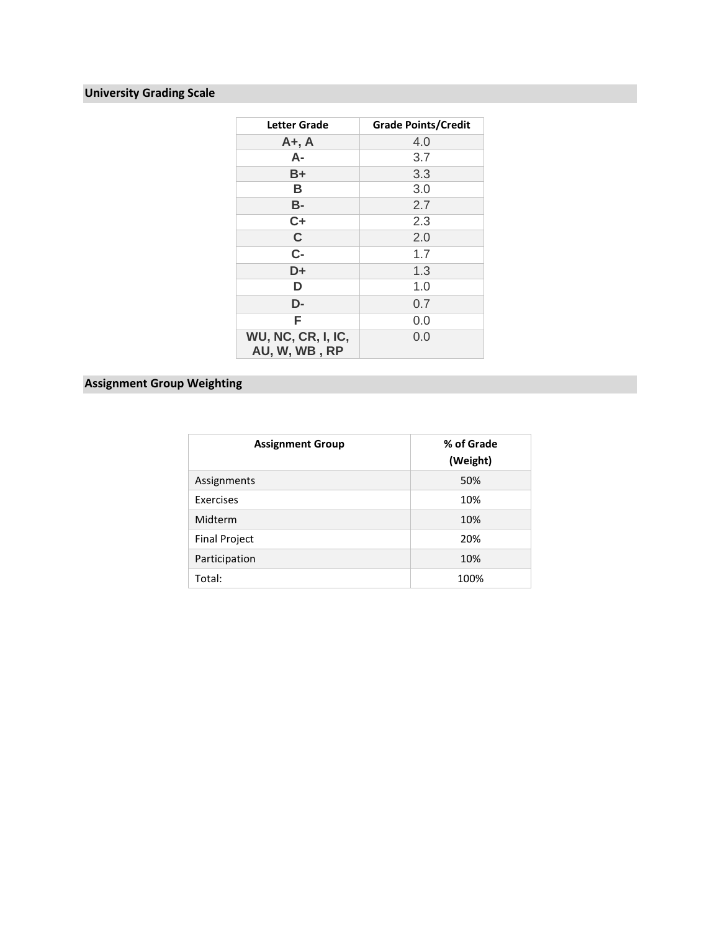## **University Grading Scale**

| <b>Letter Grade</b>                        | <b>Grade Points/Credit</b> |
|--------------------------------------------|----------------------------|
| $A+$ , $A$                                 | 4.0                        |
| А-                                         | 3.7                        |
| B+                                         | 3.3                        |
| B                                          | 3.0                        |
| <b>B-</b>                                  | 2.7                        |
| $C+$                                       | 2.3                        |
| $\mathbf C$                                | 2.0                        |
| $C -$                                      | 1.7                        |
| D+                                         | 1.3                        |
| D                                          | 1.0                        |
| D-                                         | 0.7                        |
| F                                          | 0.0                        |
| <b>WU, NC, CR, I, IC,</b><br>AU, W, WB, RP | 0.0                        |

## **Assignment Group Weighting**

| <b>Assignment Group</b> | % of Grade<br>(Weight) |
|-------------------------|------------------------|
| Assignments             | 50%                    |
| Exercises               | 10%                    |
| Midterm                 | 10%                    |
| <b>Final Project</b>    | 20%                    |
| Participation           | 10%                    |
| Total:                  | 100%                   |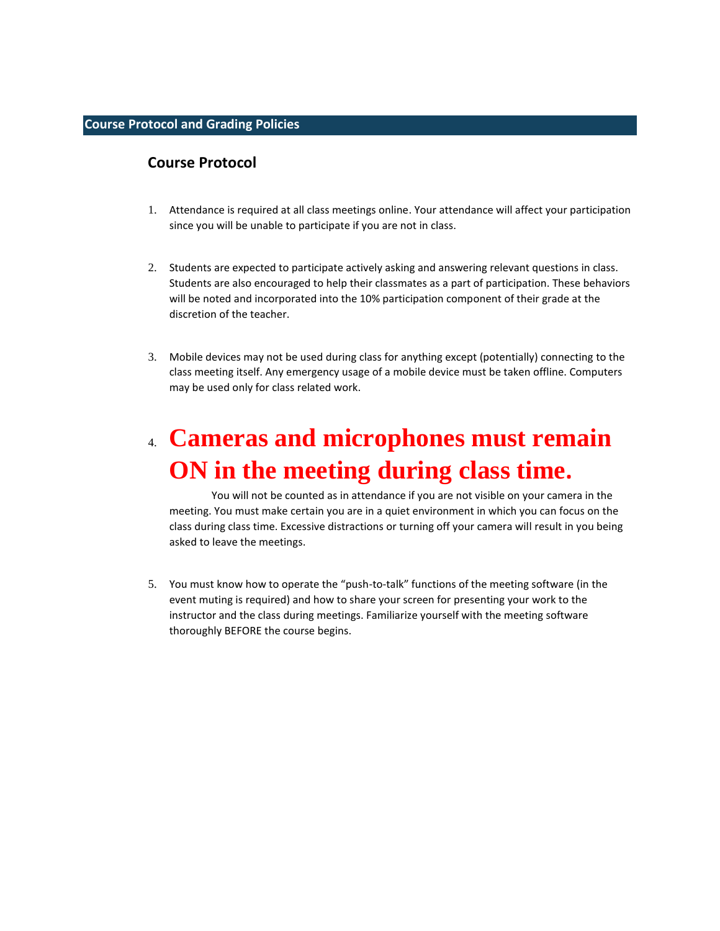## **Course Protocol and Grading Policies**

## **Course Protocol**

- 1. Attendance is required at all class meetings online. Your attendance will affect your participation since you will be unable to participate if you are not in class.
- 2. Students are expected to participate actively asking and answering relevant questions in class. Students are also encouraged to help their classmates as a part of participation. These behaviors will be noted and incorporated into the 10% participation component of their grade at the discretion of the teacher.
- 3. Mobile devices may not be used during class for anything except (potentially) connecting to the class meeting itself. Any emergency usage of a mobile device must be taken offline. Computers may be used only for class related work.

# 4. **Cameras and microphones must remain ON in the meeting during class time.**

You will not be counted as in attendance if you are not visible on your camera in the meeting. You must make certain you are in a quiet environment in which you can focus on the class during class time. Excessive distractions or turning off your camera will result in you being asked to leave the meetings.

5. You must know how to operate the "push-to-talk" functions of the meeting software (in the event muting is required) and how to share your screen for presenting your work to the instructor and the class during meetings. Familiarize yourself with the meeting software thoroughly BEFORE the course begins.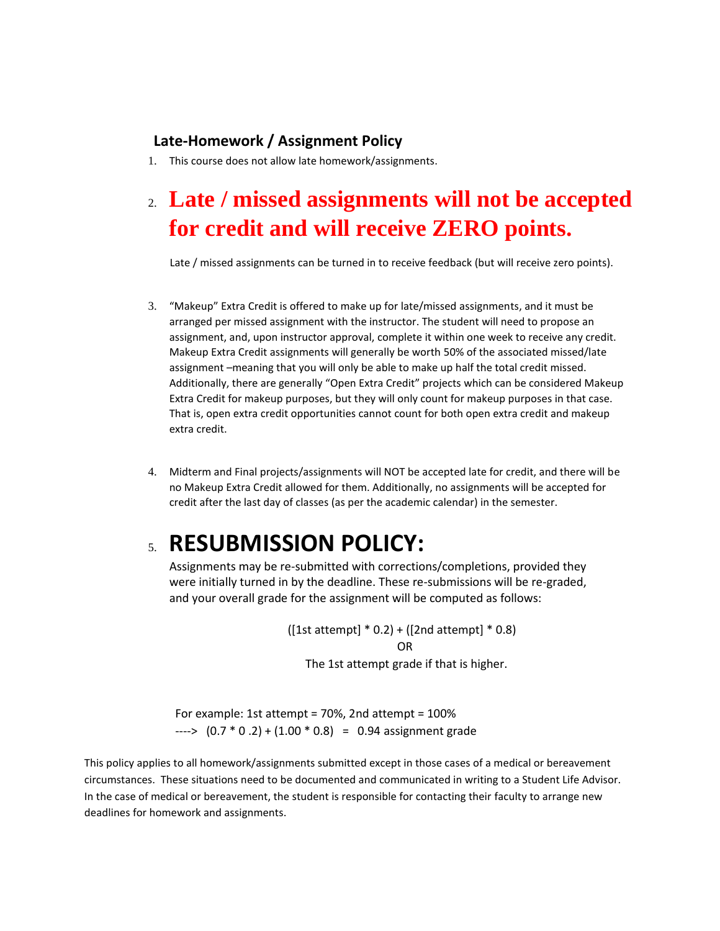## **Late-Homework / Assignment Policy**

1. This course does not allow late homework/assignments.

# 2. **Late / missed assignments will not be accepted for credit and will receive ZERO points.**

Late / missed assignments can be turned in to receive feedback (but will receive zero points).

- 3. "Makeup" Extra Credit is offered to make up for late/missed assignments, and it must be arranged per missed assignment with the instructor. The student will need to propose an assignment, and, upon instructor approval, complete it within one week to receive any credit. Makeup Extra Credit assignments will generally be worth 50% of the associated missed/late assignment –meaning that you will only be able to make up half the total credit missed. Additionally, there are generally "Open Extra Credit" projects which can be considered Makeup Extra Credit for makeup purposes, but they will only count for makeup purposes in that case. That is, open extra credit opportunities cannot count for both open extra credit and makeup extra credit.
- 4. Midterm and Final projects/assignments will NOT be accepted late for credit, and there will be no Makeup Extra Credit allowed for them. Additionally, no assignments will be accepted for credit after the last day of classes (as per the academic calendar) in the semester.

# 5. **RESUBMISSION POLICY:**

Assignments may be re-submitted with corrections/completions, provided they were initially turned in by the deadline. These re-submissions will be re-graded, and your overall grade for the assignment will be computed as follows:

> $([1st attempt] * 0.2) + ([2nd attempt] * 0.8)]$  OR The 1st attempt grade if that is higher.

 For example: 1st attempt = 70%, 2nd attempt = 100%  $--->$   $(0.7 * 0.2) + (1.00 * 0.8) = 0.94$  assignment grade

This policy applies to all homework/assignments submitted except in those cases of a medical or bereavement circumstances. These situations need to be documented and communicated in writing to a Student Life Advisor. In the case of medical or bereavement, the student is responsible for contacting their faculty to arrange new deadlines for homework and assignments.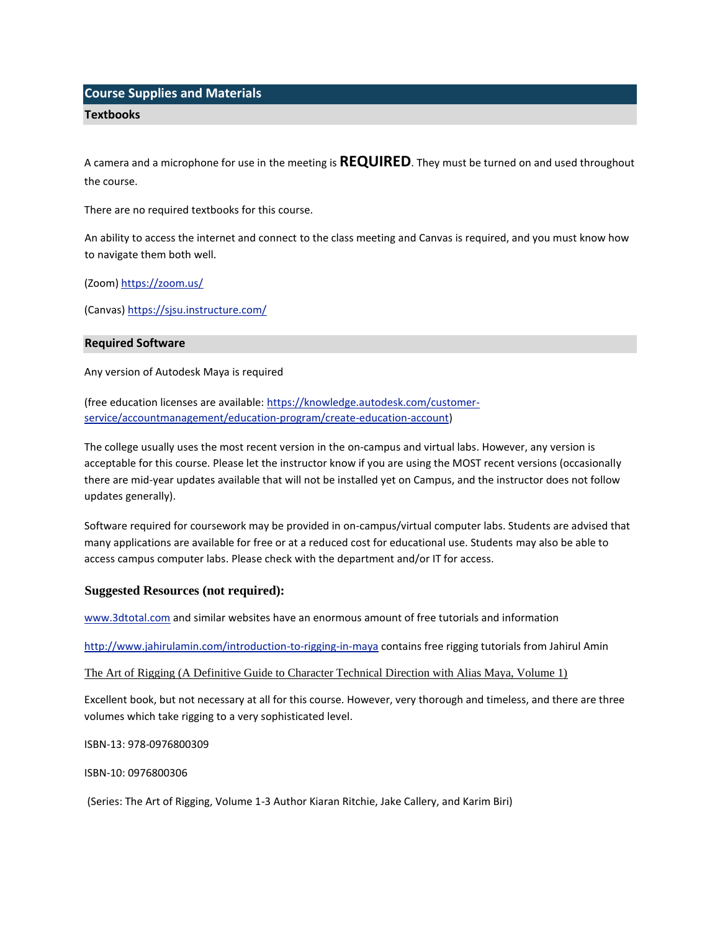## **Course Supplies and Materials**

#### **Textbooks**

A camera and a microphone for use in the meeting is **REQUIRED**. They must be turned on and used throughout the course.

There are no required textbooks for this course.

An ability to access the internet and connect to the class meeting and Canvas is required, and you must know how to navigate them both well.

(Zoom)<https://zoom.us/>

(Canvas) <https://sjsu.instructure.com/>

### **Required Software**

Any version of Autodesk Maya is required

(free education licenses are available: https://knowledge.autodesk.com/customerservice/accountmanagement/education-program/create-education-account)

The college usually uses the most recent version in the on-campus and virtual labs. However, any version is acceptable for this course. Please let the instructor know if you are using the MOST recent versions (occasionally there are mid-year updates available that will not be installed yet on Campus, and the instructor does not follow updates generally).

Software required for coursework may be provided in on-campus/virtual computer labs. Students are advised that many applications are available for free or at a reduced cost for educational use. Students may also be able to access campus computer labs. Please check with the department and/or IT for access.

## **Suggested Resources (not required):**

www.3dtotal.com and similar websites have an enormous amount of free tutorials and information

http://www.jahirulamin.com/introduction-to-rigging-in-maya contains free rigging tutorials from Jahirul Amin

#### The Art of Rigging (A Definitive Guide to Character Technical Direction with Alias Maya, Volume 1)

Excellent book, but not necessary at all for this course. However, very thorough and timeless, and there are three volumes which take rigging to a very sophisticated level.

ISBN-13: 978-0976800309

ISBN-10: 0976800306

(Series: The Art of Rigging, Volume 1-3 Author Kiaran Ritchie, Jake Callery, and Karim Biri)